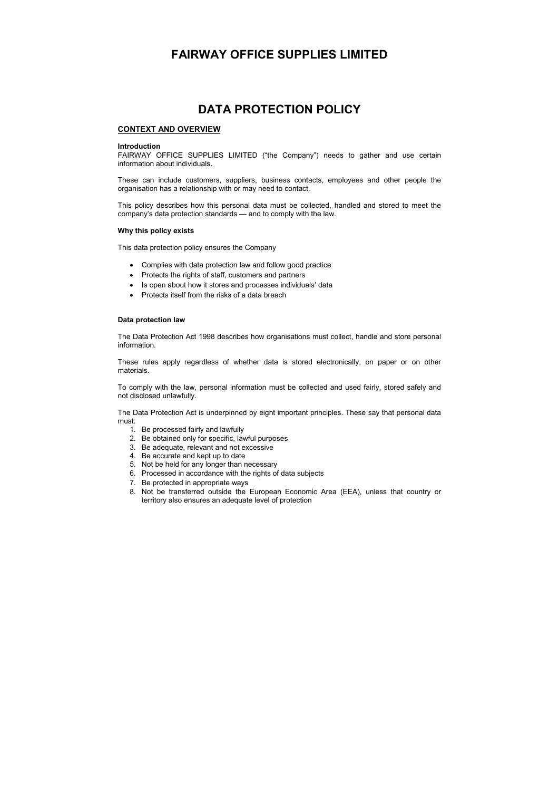# **FAIRWAY OFFICE SUPPLIES LIMITED**

# **DATA PROTECTION POLICY**

## **CONTEXT AND OVERVIEW**

#### **Introduction**

FAIRWAY OFFICE SUPPLIES LIMITED ("the Company") needs to gather and use certain information about individuals.

These can include customers, suppliers, business contacts, employees and other people the organisation has a relationship with or may need to contact.

This policy describes how this personal data must be collected, handled and stored to meet the company's data protection standards — and to comply with the law.

#### **Why this policy exists**

This data protection policy ensures the Company

- Complies with data protection law and follow good practice
- Protects the rights of staff, customers and partners
- Is open about how it stores and processes individuals' data
- Protects itself from the risks of a data breach

#### **Data protection law**

The Data Protection Act 1998 describes how organisations must collect, handle and store personal information.

These rules apply regardless of whether data is stored electronically, on paper or on other materials.

To comply with the law, personal information must be collected and used fairly, stored safely and not disclosed unlawfully.

The Data Protection Act is underpinned by eight important principles. These say that personal data must:

- 1. Be processed fairly and lawfully
- 2. Be obtained only for specific, lawful purposes
- 3. Be adequate, relevant and not excessive
- 4. Be accurate and kept up to date
- 5. Not be held for any longer than necessary
- 6. Processed in accordance with the rights of data subjects
- 7. Be protected in appropriate ways
- 8. Not be transferred outside the European Economic Area (EEA), unless that country or territory also ensures an adequate level of protection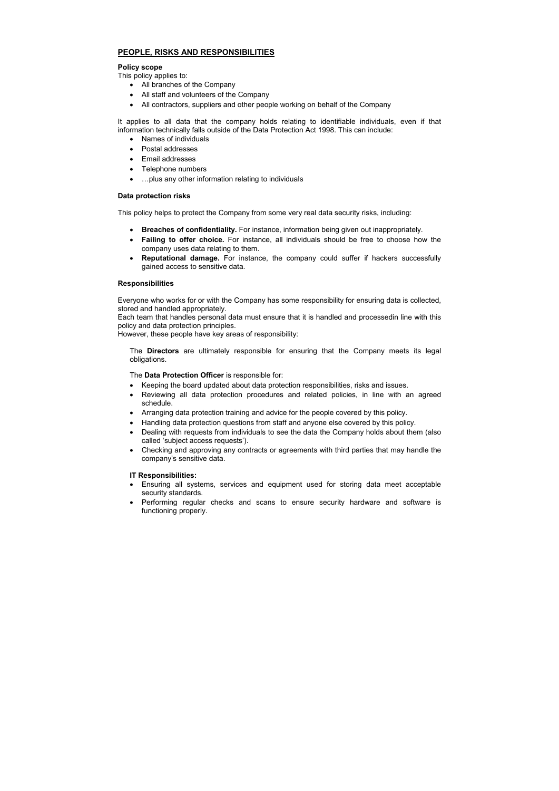# **PEOPLE, RISKS AND RESPONSIBILITIES**

### **Policy scope**

This policy applies to:

- All branches of the Company
- All staff and volunteers of the Company
- All contractors, suppliers and other people working on behalf of the Company

It applies to all data that the company holds relating to identifiable individuals, even if that information technically falls outside of the Data Protection Act 1998. This can include:

- Names of individuals
- Postal addresses
- Email addresses
- Telephone numbers
- …plus any other information relating to individuals

## **Data protection risks**

This policy helps to protect the Company from some very real data security risks, including:

- **Breaches of confidentiality.** For instance, information being given out inappropriately.
- **Failing to offer choice.** For instance, all individuals should be free to choose how the company uses data relating to them.
- **Reputational damage.** For instance, the company could suffer if hackers successfully gained access to sensitive data.

### **Responsibilities**

Everyone who works for or with the Company has some responsibility for ensuring data is collected, stored and handled appropriately.

Each team that handles personal data must ensure that it is handled and processedin line with this policy and data protection principles.

However, these people have key areas of responsibility:

The **Directors** are ultimately responsible for ensuring that the Company meets its legal obligations.

The **Data Protection Officer** is responsible for:

- Keeping the board updated about data protection responsibilities, risks and issues.
- Reviewing all data protection procedures and related policies, in line with an agreed schedule.
- Arranging data protection training and advice for the people covered by this policy.
- Handling data protection questions from staff and anyone else covered by this policy.
- Dealing with requests from individuals to see the data the Company holds about them (also called 'subject access requests').
- Checking and approving any contracts or agreements with third parties that may handle the company's sensitive data.

## **IT Responsibilities:**

- Ensuring all systems, services and equipment used for storing data meet acceptable security standards.
- Performing regular checks and scans to ensure security hardware and software is functioning properly.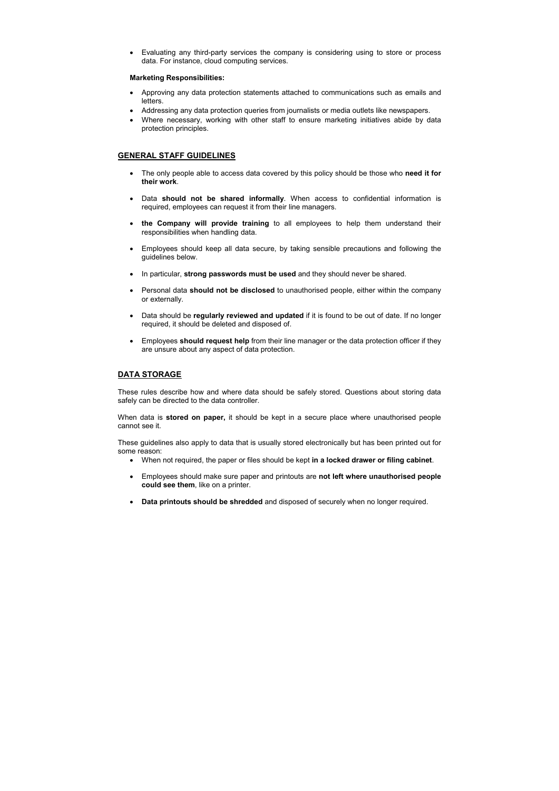• Evaluating any third-party services the company is considering using to store or process data. For instance, cloud computing services.

#### **Marketing Responsibilities:**

- Approving any data protection statements attached to communications such as emails and letters.
- Addressing any data protection queries from journalists or media outlets like newspapers.
- Where necessary, working with other staff to ensure marketing initiatives abide by data protection principles.

# **GENERAL STAFF GUIDELINES**

- The only people able to access data covered by this policy should be those who **need it for their work**.
- Data **should not be shared informally**. When access to confidential information is required, employees can request it from their line managers.
- **the Company will provide training** to all employees to help them understand their responsibilities when handling data.
- Employees should keep all data secure, by taking sensible precautions and following the guidelines below.
- In particular, **strong passwords must be used** and they should never be shared.
- Personal data **should not be disclosed** to unauthorised people, either within the company or externally.
- Data should be **regularly reviewed and updated** if it is found to be out of date. If no longer required, it should be deleted and disposed of.
- Employees **should request help** from their line manager or the data protection officer if they are unsure about any aspect of data protection.

# **DATA STORAGE**

These rules describe how and where data should be safely stored. Questions about storing data safely can be directed to the data controller.

When data is **stored on paper,** it should be kept in a secure place where unauthorised people cannot see it.

These guidelines also apply to data that is usually stored electronically but has been printed out for some reason:

- When not required, the paper or files should be kept **in a locked drawer or filing cabinet**.
- Employees should make sure paper and printouts are **not left where unauthorised people could see them**, like on a printer.
- **Data printouts should be shredded** and disposed of securely when no longer required.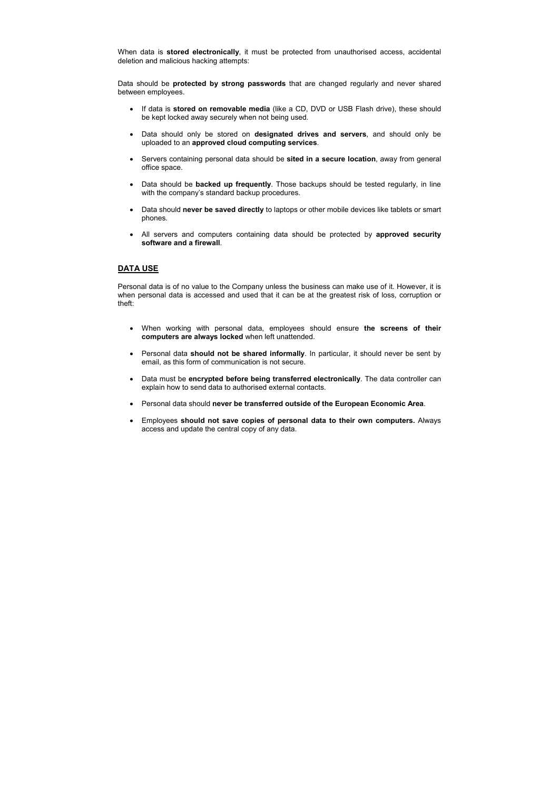When data is **stored electronically**, it must be protected from unauthorised access, accidental deletion and malicious hacking attempts:

Data should be **protected by strong passwords** that are changed regularly and never shared between employees.

- If data is **stored on removable media** (like a CD, DVD or USB Flash drive), these should be kept locked away securely when not being used.
- Data should only be stored on **designated drives and servers**, and should only be uploaded to an **approved cloud computing services**.
- Servers containing personal data should be **sited in a secure location**, away from general office space.
- Data should be **backed up frequently**. Those backups should be tested regularly, in line with the company's standard backup procedures.
- Data should **never be saved directly** to laptops or other mobile devices like tablets or smart phones.
- All servers and computers containing data should be protected by **approved security software and a firewall**.

# **DATA USE**

Personal data is of no value to the Company unless the business can make use of it. However, it is when personal data is accessed and used that it can be at the greatest risk of loss, corruption or theft:

- When working with personal data, employees should ensure **the screens of their computers are always locked** when left unattended.
- Personal data **should not be shared informally**. In particular, it should never be sent by email, as this form of communication is not secure.
- Data must be **encrypted before being transferred electronically**. The data controller can explain how to send data to authorised external contacts.
- Personal data should **never be transferred outside of the European Economic Area**.
- Employees **should not save copies of personal data to their own computers.** Always access and update the central copy of any data.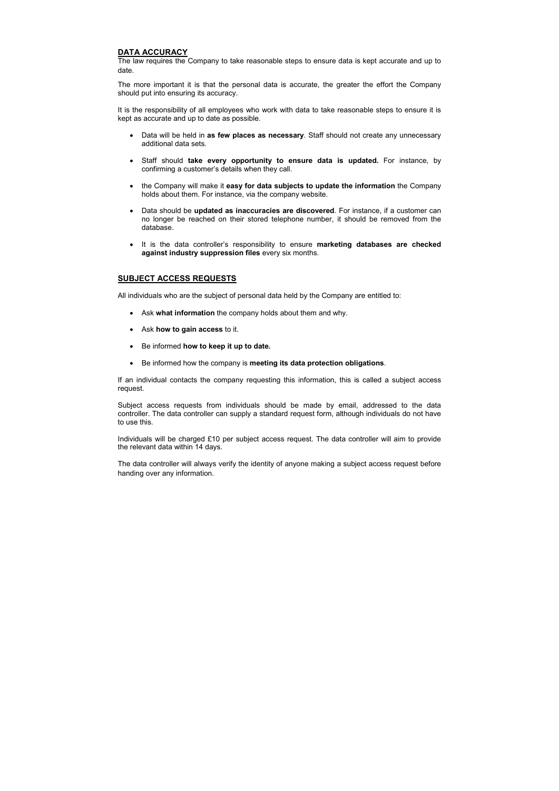# **DATA ACCURACY**

The law requires the Company to take reasonable steps to ensure data is kept accurate and up to date.

The more important it is that the personal data is accurate, the greater the effort the Company should put into ensuring its accuracy.

It is the responsibility of all employees who work with data to take reasonable steps to ensure it is kept as accurate and up to date as possible.

- Data will be held in **as few places as necessary**. Staff should not create any unnecessary additional data sets.
- Staff should **take every opportunity to ensure data is updated.** For instance, by confirming a customer's details when they call.
- the Company will make it **easy for data subjects to update the information** the Company holds about them. For instance, via the company website.
- Data should be **updated as inaccuracies are discovered**. For instance, if a customer can no longer be reached on their stored telephone number, it should be removed from the database.
- It is the data controller's responsibility to ensure **marketing databases are checked against industry suppression files** every six months.

# **SUBJECT ACCESS REQUESTS**

All individuals who are the subject of personal data held by the Company are entitled to:

- Ask **what information** the company holds about them and why.
- Ask **how to gain access** to it.
- Be informed **how to keep it up to date.**
- Be informed how the company is **meeting its data protection obligations**.

If an individual contacts the company requesting this information, this is called a subject access request.

Subject access requests from individuals should be made by email, addressed to the data controller. The data controller can supply a standard request form, although individuals do not have to use this.

Individuals will be charged £10 per subject access request. The data controller will aim to provide the relevant data within 14 days.

The data controller will always verify the identity of anyone making a subject access request before handing over any information.